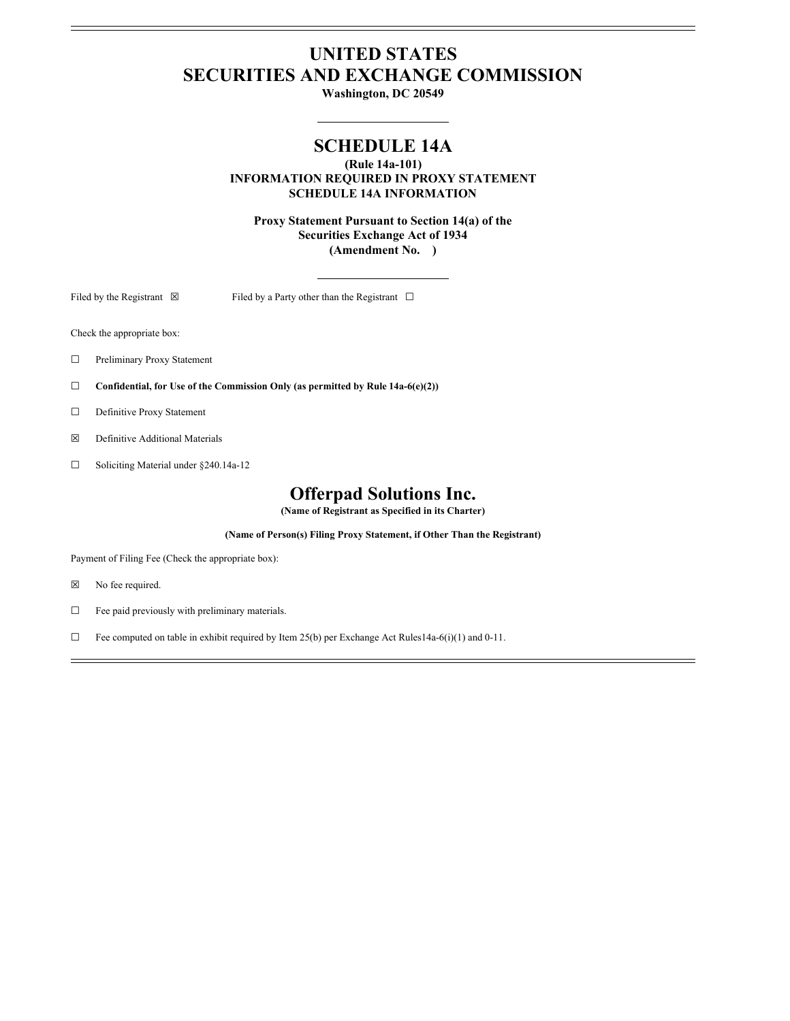# **UNITED STATES SECURITIES AND EXCHANGE COMMISSION**

**Washington, DC 20549**

## **SCHEDULE 14A**

**(Rule 14a-101) INFORMATION REQUIRED IN PROXY STATEMENT SCHEDULE 14A INFORMATION**

**Proxy Statement Pursuant to Section 14(a) of the Securities Exchange Act of 1934 (Amendment No. )**

Filed by the Registrant  $\boxtimes$  Filed by a Party other than the Registrant  $\Box$ 

Check the appropriate box:

- ☐ Preliminary Proxy Statement
- ☐ **Confidential, for Use of the Commission Only (as permitted by Rule 14a-6(e)(2))**
- □ Definitive Proxy Statement
- ☒ Definitive Additional Materials
- ☐ Soliciting Material under §240.14a-12

### **Offerpad Solutions Inc.**

**(Name of Registrant as Specified in its Charter)**

**(Name of Person(s) Filing Proxy Statement, if Other Than the Registrant)**

Payment of Filing Fee (Check the appropriate box):

- ☒ No fee required.
- ☐ Fee paid previously with preliminary materials.
- ☐ Fee computed on table in exhibit required by Item 25(b) per Exchange Act Rules14a-6(i)(1) and 0-11.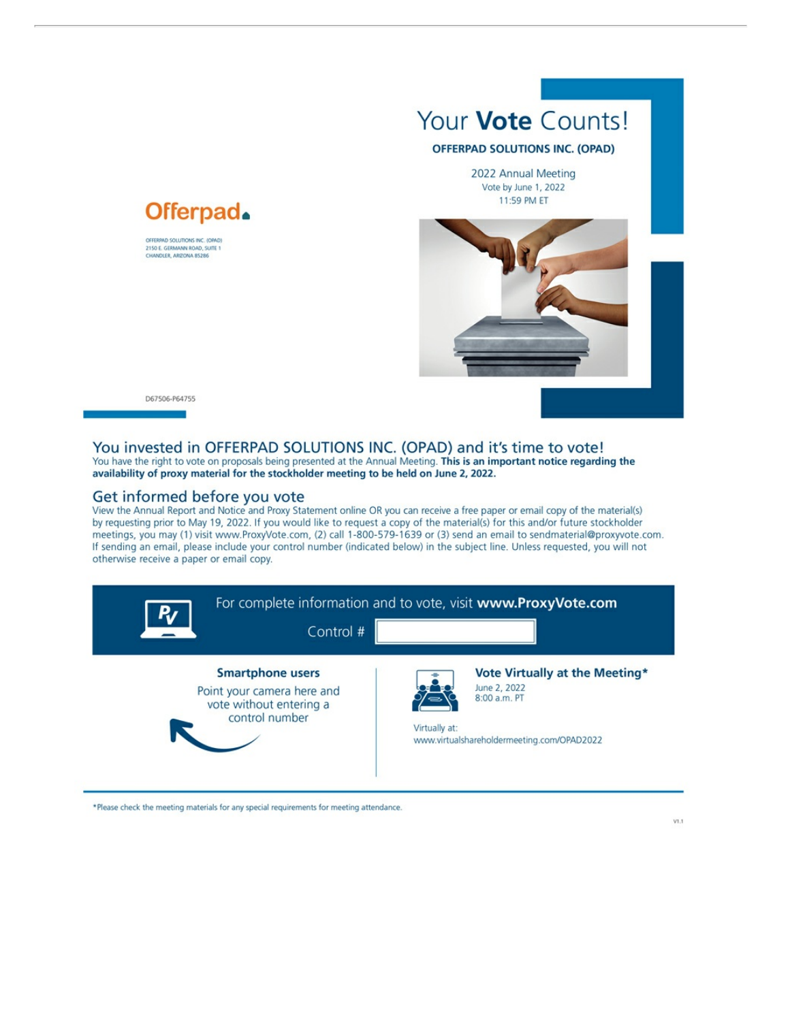



OFFERPAD SOLUTIONS INC. (OPAD) 2150 E. GERMANN ROAD, SUITE 1

#### D67506-P64755

#### You invested in OFFERPAD SOLUTIONS INC. (OPAD) and it's time to vote!

You have the right to vote on proposals being presented at the Annual Meeting. This is an important notice regarding the availability of proxy material for the stockholder meeting to be held on June 2, 2022.

#### Get informed before you vote

View the Annual Report and Notice and Proxy Statement online OR you can receive a free paper or email copy of the material(s) by requesting prior to May 19, 2022. If you would like to request a copy of the material(s) for this and/or future stockholder meetings, you may (1) visit www.ProxyVote.com, (2) call 1-800-579-1639 or (3) send an email to sendmaterial@proxyvote.com. If sending an email, please include your control number (indicated below) in the subject line. Unless requested, you will not otherwise receive a paper or email copy.

|                                                                                                    | Control # | For complete information and to vote, visit www.ProxyVote.com                               |                                |
|----------------------------------------------------------------------------------------------------|-----------|---------------------------------------------------------------------------------------------|--------------------------------|
| <b>Smartphone users</b><br>Point your camera here and<br>vote without entering a<br>control number |           | June 2, 2022<br>8:00 a.m. PT<br>Virtually at:<br>www.virtualshareholdermeeting.com/OPAD2022 | Vote Virtually at the Meeting* |

\*Please check the meeting materials for any special requirements for meeting attendance.